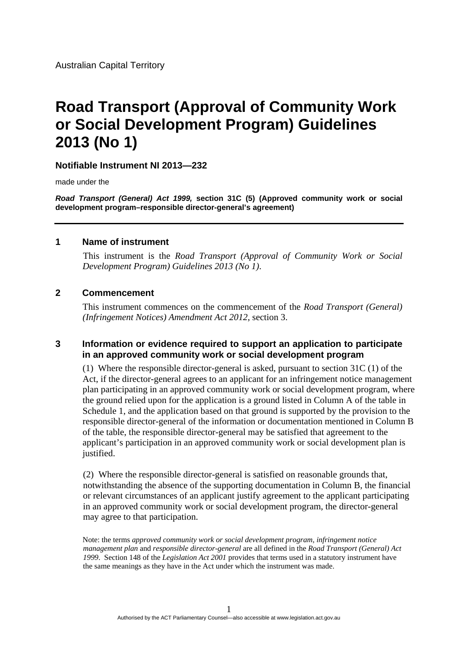Australian Capital Territory

# **Road Transport (Approval of Community Work or Social Development Program) Guidelines 2013 (No 1)**

#### **Notifiable Instrument NI 2013—232**

made under the

*Road Transport (General) Act 1999,* **section 31C (5) (Approved community work or social development program–responsible director-general's agreement)**

#### **1 Name of instrument**

 This instrument is the *Road Transport (Approval of Community Work or Social Development Program) Guidelines 2013 (No 1)*.

#### **2 Commencement**

This instrument commences on the commencement of the *Road Transport (General) (Infringement Notices) Amendment Act 2012*, section 3.

#### **3 Information or evidence required to support an application to participate in an approved community work or social development program**

(1) Where the responsible director-general is asked, pursuant to section 31C (1) of the Act, if the director-general agrees to an applicant for an infringement notice management plan participating in an approved community work or social development program, where the ground relied upon for the application is a ground listed in Column A of the table in Schedule 1, and the application based on that ground is supported by the provision to the responsible director-general of the information or documentation mentioned in Column B of the table, the responsible director-general may be satisfied that agreement to the applicant's participation in an approved community work or social development plan is justified.

(2) Where the responsible director-general is satisfied on reasonable grounds that, notwithstanding the absence of the supporting documentation in Column B, the financial or relevant circumstances of an applicant justify agreement to the applicant participating in an approved community work or social development program, the director-general may agree to that participation.

Note: the terms *approved community work or social development program*, *infringement notice management plan* and *responsible director-general* are all defined in the *Road Transport (General) Act 1999*. Section 148 of the *Legislation Act 2001* provides that terms used in a statutory instrument have the same meanings as they have in the Act under which the instrument was made.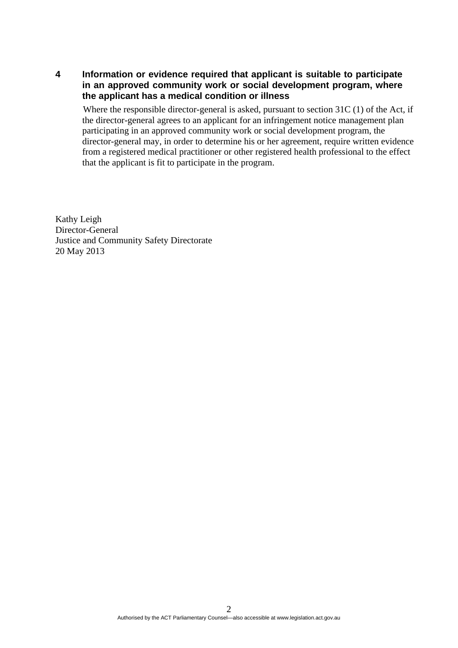**4 Information or evidence required that applicant is suitable to participate in an approved community work or social development program, where the applicant has a medical condition or illness** 

 Where the responsible director-general is asked, pursuant to section 31C (1) of the Act, if the director-general agrees to an applicant for an infringement notice management plan participating in an approved community work or social development program, the director-general may, in order to determine his or her agreement, require written evidence from a registered medical practitioner or other registered health professional to the effect that the applicant is fit to participate in the program.

Kathy Leigh Director-General Justice and Community Safety Directorate 20 May 2013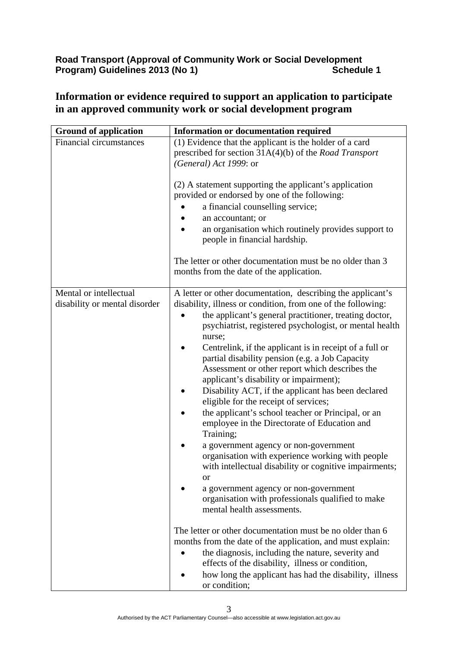## **Road Transport (Approval of Community Work or Social Development Program) Guidelines 2013 (No 1)** Schedule 1

| <b>Ground of application</b>                            | <b>Information or documentation required</b>                                                                                                                                                                                                                                                                                                                                                                                                                                                                                                                                                                                                                                                                                                                                                                                                                                                                                                                                               |
|---------------------------------------------------------|--------------------------------------------------------------------------------------------------------------------------------------------------------------------------------------------------------------------------------------------------------------------------------------------------------------------------------------------------------------------------------------------------------------------------------------------------------------------------------------------------------------------------------------------------------------------------------------------------------------------------------------------------------------------------------------------------------------------------------------------------------------------------------------------------------------------------------------------------------------------------------------------------------------------------------------------------------------------------------------------|
| <b>Financial circumstances</b>                          | (1) Evidence that the applicant is the holder of a card<br>prescribed for section $31A(4)(b)$ of the <i>Road Transport</i><br>(General) Act 1999: or<br>(2) A statement supporting the applicant's application<br>provided or endorsed by one of the following:<br>a financial counselling service;<br>an accountant; or<br>an organisation which routinely provides support to<br>people in financial hardship.<br>The letter or other documentation must be no older than 3<br>months from the date of the application.                                                                                                                                                                                                                                                                                                                                                                                                                                                                  |
|                                                         |                                                                                                                                                                                                                                                                                                                                                                                                                                                                                                                                                                                                                                                                                                                                                                                                                                                                                                                                                                                            |
| Mental or intellectual<br>disability or mental disorder | A letter or other documentation, describing the applicant's<br>disability, illness or condition, from one of the following:<br>the applicant's general practitioner, treating doctor,<br>psychiatrist, registered psychologist, or mental health<br>nurse;<br>Centrelink, if the applicant is in receipt of a full or<br>partial disability pension (e.g. a Job Capacity<br>Assessment or other report which describes the<br>applicant's disability or impairment);<br>Disability ACT, if the applicant has been declared<br>eligible for the receipt of services;<br>the applicant's school teacher or Principal, or an<br>employee in the Directorate of Education and<br>Training;<br>a government agency or non-government<br>organisation with experience working with people<br>with intellectual disability or cognitive impairments;<br><sub>or</sub><br>a government agency or non-government<br>organisation with professionals qualified to make<br>mental health assessments. |
|                                                         | The letter or other documentation must be no older than 6<br>months from the date of the application, and must explain:<br>the diagnosis, including the nature, severity and<br>effects of the disability, illness or condition,<br>how long the applicant has had the disability, illness<br>or condition;                                                                                                                                                                                                                                                                                                                                                                                                                                                                                                                                                                                                                                                                                |

## **Information or evidence required to support an application to participate in an approved community work or social development program**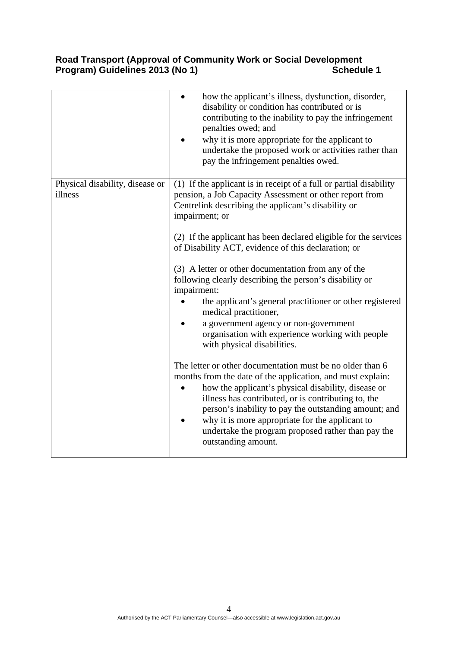## **Road Transport (Approval of Community Work or Social Development**  Program) Guidelines 2013 (No 1) **Schedule 1** Schedule 1

|                                            | how the applicant's illness, dysfunction, disorder,<br>disability or condition has contributed or is<br>contributing to the inability to pay the infringement<br>penalties owed; and<br>why it is more appropriate for the applicant to<br>undertake the proposed work or activities rather than<br>pay the infringement penalties owed.                                                                                                                                                                                                                                                                                                                                                                                                                                                                                                                                                                                                                                                                                                                                                                              |
|--------------------------------------------|-----------------------------------------------------------------------------------------------------------------------------------------------------------------------------------------------------------------------------------------------------------------------------------------------------------------------------------------------------------------------------------------------------------------------------------------------------------------------------------------------------------------------------------------------------------------------------------------------------------------------------------------------------------------------------------------------------------------------------------------------------------------------------------------------------------------------------------------------------------------------------------------------------------------------------------------------------------------------------------------------------------------------------------------------------------------------------------------------------------------------|
| Physical disability, disease or<br>illness | (1) If the applicant is in receipt of a full or partial disability<br>pension, a Job Capacity Assessment or other report from<br>Centrelink describing the applicant's disability or<br>impairment; or<br>(2) If the applicant has been declared eligible for the services<br>of Disability ACT, evidence of this declaration; or<br>(3) A letter or other documentation from any of the<br>following clearly describing the person's disability or<br>impairment:<br>the applicant's general practitioner or other registered<br>medical practitioner,<br>a government agency or non-government<br>organisation with experience working with people<br>with physical disabilities.<br>The letter or other documentation must be no older than 6<br>months from the date of the application, and must explain:<br>how the applicant's physical disability, disease or<br>illness has contributed, or is contributing to, the<br>person's inability to pay the outstanding amount; and<br>why it is more appropriate for the applicant to<br>undertake the program proposed rather than pay the<br>outstanding amount. |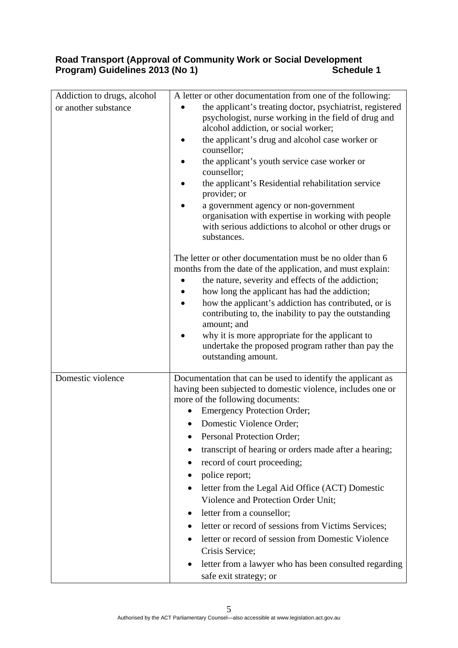## **Road Transport (Approval of Community Work or Social Development**  Program) Guidelines 2013 (No 1) **Schedule 1** Schedule 1

| Addiction to drugs, alcohol<br>or another substance | A letter or other documentation from one of the following:<br>the applicant's treating doctor, psychiatrist, registered<br>psychologist, nurse working in the field of drug and<br>alcohol addiction, or social worker;<br>the applicant's drug and alcohol case worker or<br>counsellor;<br>the applicant's youth service case worker or<br>counsellor;<br>the applicant's Residential rehabilitation service<br>provider; or<br>a government agency or non-government<br>organisation with expertise in working with people<br>with serious addictions to alcohol or other drugs or<br>substances.<br>The letter or other documentation must be no older than 6<br>months from the date of the application, and must explain:<br>the nature, severity and effects of the addiction;<br>how long the applicant has had the addiction;<br>how the applicant's addiction has contributed, or is<br>contributing to, the inability to pay the outstanding<br>amount; and<br>why it is more appropriate for the applicant to<br>undertake the proposed program rather than pay the<br>outstanding amount. |
|-----------------------------------------------------|--------------------------------------------------------------------------------------------------------------------------------------------------------------------------------------------------------------------------------------------------------------------------------------------------------------------------------------------------------------------------------------------------------------------------------------------------------------------------------------------------------------------------------------------------------------------------------------------------------------------------------------------------------------------------------------------------------------------------------------------------------------------------------------------------------------------------------------------------------------------------------------------------------------------------------------------------------------------------------------------------------------------------------------------------------------------------------------------------------|
| Domestic violence                                   | Documentation that can be used to identify the applicant as<br>having been subjected to domestic violence, includes one or<br>more of the following documents:<br><b>Emergency Protection Order;</b><br>Domestic Violence Order;<br>Personal Protection Order;<br>$\bullet$<br>transcript of hearing or orders made after a hearing;<br>record of court proceeding;<br>police report;<br>letter from the Legal Aid Office (ACT) Domestic<br>Violence and Protection Order Unit;<br>letter from a counsellor;<br>٠<br>letter or record of sessions from Victims Services;<br>letter or record of session from Domestic Violence<br>Crisis Service;<br>letter from a lawyer who has been consulted regarding<br>safe exit strategy; or                                                                                                                                                                                                                                                                                                                                                                   |